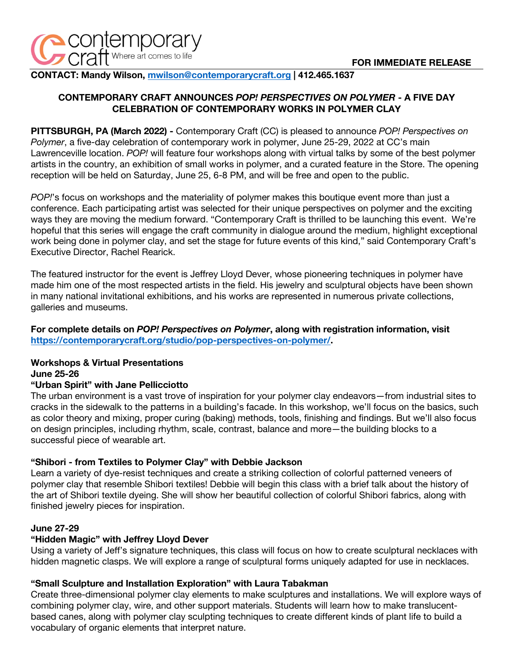

**CONTACT: Mandy Wilson, mwilson@contemporarycraft.org | 412.465.1637**

# **CONTEMPORARY CRAFT ANNOUNCES** *POP! PERSPECTIVES ON POLYMER* **- A FIVE DAY CELEBRATION OF CONTEMPORARY WORKS IN POLYMER CLAY**

**PITTSBURGH, PA (March 2022) -** Contemporary Craft (CC) is pleased to announce *POP! Perspectives on Polymer*, a five-day celebration of contemporary work in polymer, June 25-29, 2022 at CC's main Lawrenceville location. *POP!* will feature four workshops along with virtual talks by some of the best polymer artists in the country, an exhibition of small works in polymer, and a curated feature in the Store. The opening reception will be held on Saturday, June 25, 6-8 PM, and will be free and open to the public.

*POP!*'s focus on workshops and the materiality of polymer makes this boutique event more than just a conference. Each participating artist was selected for their unique perspectives on polymer and the exciting ways they are moving the medium forward. "Contemporary Craft is thrilled to be launching this event. We're hopeful that this series will engage the craft community in dialogue around the medium, highlight exceptional work being done in polymer clay, and set the stage for future events of this kind," said Contemporary Craft's Executive Director, Rachel Rearick.

The featured instructor for the event is Jeffrey Lloyd Dever, whose pioneering techniques in polymer have made him one of the most respected artists in the field. His jewelry and sculptural objects have been shown in many national invitational exhibitions, and his works are represented in numerous private collections, galleries and museums.

## **For complete details on** *POP! Perspectives on Polymer***, along with registration information, visit https://contemporarycraft.org/studio/pop-perspectives-on-polymer/.**

# **Workshops & Virtual Presentations**

#### **June 25-26**

### **"Urban Spirit" with Jane Pellicciotto**

The urban environment is a vast trove of inspiration for your polymer clay endeavors—from industrial sites to cracks in the sidewalk to the patterns in a building's facade. In this workshop, we'll focus on the basics, such as color theory and mixing, proper curing (baking) methods, tools, finishing and findings. But we'll also focus on design principles, including rhythm, scale, contrast, balance and more—the building blocks to a successful piece of wearable art.

### **"Shibori - from Textiles to Polymer Clay" with Debbie Jackson**

Learn a variety of dye-resist techniques and create a striking collection of colorful patterned veneers of polymer clay that resemble Shibori textiles! Debbie will begin this class with a brief talk about the history of the art of Shibori textile dyeing. She will show her beautiful collection of colorful Shibori fabrics, along with finished jewelry pieces for inspiration.

### **June 27-29**

### **"Hidden Magic" with Jeffrey Lloyd Dever**

Using a variety of Jeff's signature techniques, this class will focus on how to create sculptural necklaces with hidden magnetic clasps. We will explore a range of sculptural forms uniquely adapted for use in necklaces.

### **"Small Sculpture and Installation Exploration" with Laura Tabakman**

Create three-dimensional polymer clay elements to make sculptures and installations. We will explore ways of combining polymer clay, wire, and other support materials. Students will learn how to make translucentbased canes, along with polymer clay sculpting techniques to create different kinds of plant life to build a vocabulary of organic elements that interpret nature.